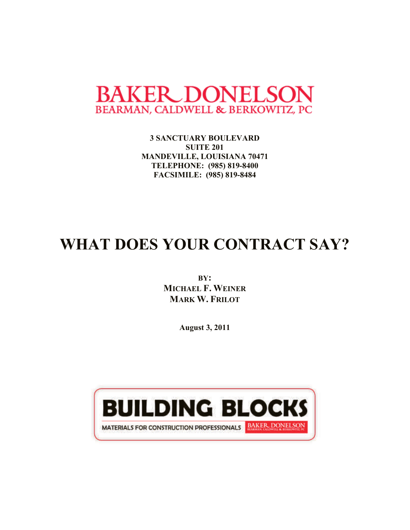

**3 SANCTUARY BOULEVARD SUITE 201 MANDEVILLE, LOUISIANA 70471 TELEPHONE: (985) 819-8400 FACSIMILE: (985) 819-8484**

# **WHAT DOES YOUR CONTRACT SAY?**

**BY: MICHAEL F. WEINER MARK W. FRILOT**

**August 3, 2011**

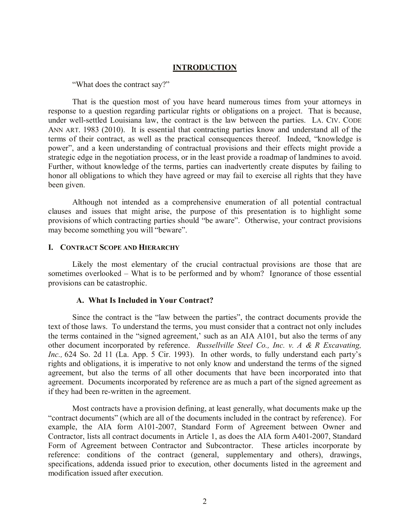#### **INTRODUCTION**

"What does the contract say?"

That is the question most of you have heard numerous times from your attorneys in response to a question regarding particular rights or obligations on a project. That is because, under well-settled Louisiana law, the contract is the law between the parties. LA. CIV. CODE ANN ART. 1983 (2010). It is essential that contracting parties know and understand all of the terms of their contract, as well as the practical consequences thereof. Indeed, "knowledge is power", and a keen understanding of contractual provisions and their effects might provide a strategic edge in the negotiation process, or in the least provide a roadmap of landmines to avoid. Further, without knowledge of the terms, parties can inadvertently create disputes by failing to honor all obligations to which they have agreed or may fail to exercise all rights that they have been given.

Although not intended as a comprehensive enumeration of all potential contractual clauses and issues that might arise, the purpose of this presentation is to highlight some provisions of which contracting parties should "be aware". Otherwise, your contract provisions may become something you will "beware".

#### **I. CONTRACT SCOPE AND HIERARCHY**

Likely the most elementary of the crucial contractual provisions are those that are sometimes overlooked – What is to be performed and by whom? Ignorance of those essential provisions can be catastrophic.

#### **A. What Is Included in Your Contract?**

Since the contract is the "law between the parties", the contract documents provide the text of those laws. To understand the terms, you must consider that a contract not only includes the terms contained in the "signed agreement,' such as an AIA A101, but also the terms of any other document incorporated by reference. *Russellville Steel Co., Inc. v. A & R Excavating, Inc.,* 624 So. 2d 11 (La. App. 5 Cir. 1993). In other words, to fully understand each party's rights and obligations, it is imperative to not only know and understand the terms of the signed agreement, but also the terms of all other documents that have been incorporated into that agreement. Documents incorporated by reference are as much a part of the signed agreement as if they had been re-written in the agreement.

Most contracts have a provision defining, at least generally, what documents make up the "contract documents" (which are all of the documents included in the contract by reference). For example, the AIA form A101-2007, Standard Form of Agreement between Owner and Contractor, lists all contract documents in Article 1, as does the AIA form A401-2007, Standard Form of Agreement between Contractor and Subcontractor. These articles incorporate by reference: conditions of the contract (general, supplementary and others), drawings, specifications, addenda issued prior to execution, other documents listed in the agreement and modification issued after execution.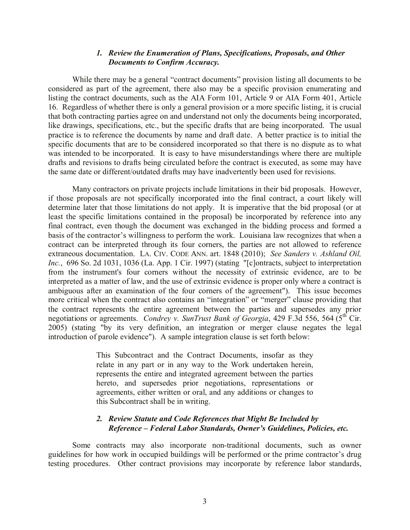#### *1. Review the Enumeration of Plans, Specifications, Proposals, and Other Documents to Confirm Accuracy.*

While there may be a general "contract documents" provision listing all documents to be considered as part of the agreement, there also may be a specific provision enumerating and listing the contract documents, such as the AIA Form 101, Article 9 or AIA Form 401, Article 16. Regardless of whether there is only a general provision or a more specific listing, it is crucial that both contracting parties agree on and understand not only the documents being incorporated, like drawings, specifications, etc., but the specific drafts that are being incorporated. The usual practice is to reference the documents by name and draft date. A better practice is to initial the specific documents that are to be considered incorporated so that there is no dispute as to what was intended to be incorporated. It is easy to have misunderstandings where there are multiple drafts and revisions to drafts being circulated before the contract is executed, as some may have the same date or different/outdated drafts may have inadvertently been used for revisions.

Many contractors on private projects include limitations in their bid proposals. However, if those proposals are not specifically incorporated into the final contract, a court likely will determine later that those limitations do not apply. It is imperative that the bid proposal (or at least the specific limitations contained in the proposal) be incorporated by reference into any final contract, even though the document was exchanged in the bidding process and formed a basis of the contractor's willingness to perform the work. Louisiana law recognizes that when a contract can be interpreted through its four corners, the parties are not allowed to reference extraneous documentation. LA. CIV. CODE ANN. art. 1848 (2010); *See Sanders v. Ashland Oil,*  Inc., 696 So. 2d 1031, 1036 (La. App. 1 Cir. 1997) (stating "[c]ontracts, subject to interpretation from the instrument's four corners without the necessity of extrinsic evidence, are to be interpreted as a matter of law, and the use of extrinsic evidence is proper only where a contract is ambiguous after an examination of the four corners of the agreement"). This issue becomes more critical when the contract also contains an "integration" or "merger" clause providing that the contract represents the entire agreement between the parties and supersedes any prior negotiations or agreements. *Condrey v. SunTrust Bank of Georgia*, 429 F.3d 556, 564 (5<sup>th</sup> Cir. 2005) (stating "by its very definition, an integration or merger clause negates the legal introduction of parole evidence"). A sample integration clause is set forth below:

> This Subcontract and the Contract Documents, insofar as they relate in any part or in any way to the Work undertaken herein, represents the entire and integrated agreement between the parties hereto, and supersedes prior negotiations, representations or agreements, either written or oral, and any additions or changes to this Subcontract shall be in writing.

### *2. Review Statute and Code References that Might Be Included by Reference – Federal Labor Standards, Owner's Guidelines, Policies, etc.*

Some contracts may also incorporate non-traditional documents, such as owner guidelines for how work in occupied buildings will be performed or the prime contractor's drug testing procedures. Other contract provisions may incorporate by reference labor standards,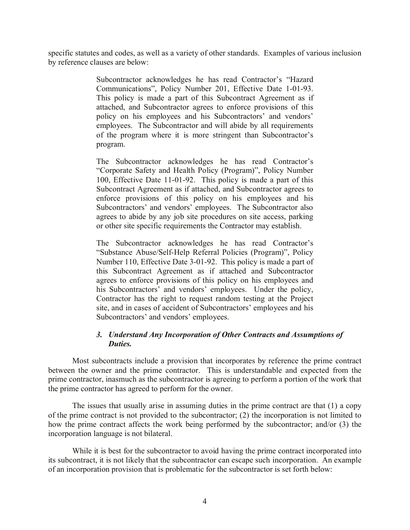specific statutes and codes, as well as a variety of other standards. Examples of various inclusion by reference clauses are below:

> Subcontractor acknowledges he has read Contractor's "Hazard Communications", Policy Number 201, Effective Date 1-01-93. This policy is made a part of this Subcontract Agreement as if attached, and Subcontractor agrees to enforce provisions of this policy on his employees and his Subcontractors' and vendors' employees. The Subcontractor and will abide by all requirements of the program where it is more stringent than Subcontractor's program.

> The Subcontractor acknowledges he has read Contractor's "Corporate Safety and Health Policy (Program)", Policy Number 100, Effective Date 11-01-92. This policy is made a part of this Subcontract Agreement as if attached, and Subcontractor agrees to enforce provisions of this policy on his employees and his Subcontractors' and vendors' employees. The Subcontractor also agrees to abide by any job site procedures on site access, parking or other site specific requirements the Contractor may establish.

> The Subcontractor acknowledges he has read Contractor's "Substance Abuse/Self-Help Referral Policies (Program)", Policy Number 110, Effective Date 3-01-92. This policy is made a part of this Subcontract Agreement as if attached and Subcontractor agrees to enforce provisions of this policy on his employees and his Subcontractors' and vendors' employees. Under the policy, Contractor has the right to request random testing at the Project site, and in cases of accident of Subcontractors' employees and his Subcontractors' and vendors' employees.

# *3. Understand Any Incorporation of Other Contracts and Assumptions of Duties.*

Most subcontracts include a provision that incorporates by reference the prime contract between the owner and the prime contractor. This is understandable and expected from the prime contractor, inasmuch as the subcontractor is agreeing to perform a portion of the work that the prime contractor has agreed to perform for the owner.

The issues that usually arise in assuming duties in the prime contract are that (1) a copy of the prime contract is not provided to the subcontractor; (2) the incorporation is not limited to how the prime contract affects the work being performed by the subcontractor; and/or (3) the incorporation language is not bilateral.

While it is best for the subcontractor to avoid having the prime contract incorporated into its subcontract, it is not likely that the subcontractor can escape such incorporation. An example of an incorporation provision that is problematic for the subcontractor is set forth below: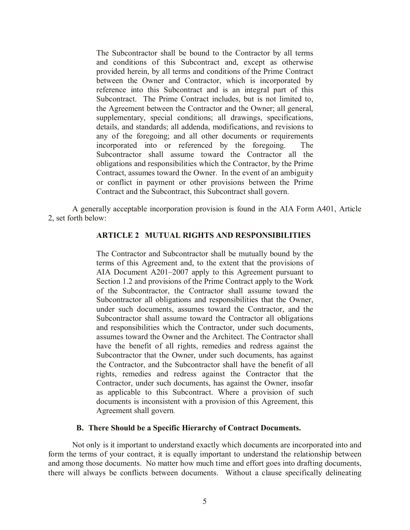The Subcontractor shall be bound to the Contractor by all terms and conditions of this Subcontract and, except as otherwise provided herein, by all terms and conditions of the Prime Contract between the Owner and Contractor, which is incorporated by reference into this Subcontract and is an integral part of this Subcontract. The Prime Contract includes, but is not limited to, the Agreement between the Contractor and the Owner; all general, supplementary, special conditions; all drawings, specifications, details, and standards; all addenda, modifications, and revisions to any of the foregoing; and all other documents or requirements incorporated into or referenced by the foregoing. The Subcontractor shall assume toward the Contractor all the obligations and responsibilities which the Contractor, by the Prime Contract, assumes toward the Owner. In the event of an ambiguity or conflict in payment or other provisions between the Prime Contract and the Subcontract, this Subcontract shall govern.

A generally acceptable incorporation provision is found in the AIA Form A401, Article 2, set forth below:

## **ARTICLE 2 MUTUAL RIGHTS AND RESPONSIBILITIES**

The Contractor and Subcontractor shall be mutually bound by the terms of this Agreement and, to the extent that the provisions of AIA Document A201–2007 apply to this Agreement pursuant to Section 1.2 and provisions of the Prime Contract apply to the Work of the Subcontractor, the Contractor shall assume toward the Subcontractor all obligations and responsibilities that the Owner, under such documents, assumes toward the Contractor, and the Subcontractor shall assume toward the Contractor all obligations and responsibilities which the Contractor, under such documents, assumes toward the Owner and the Architect. The Contractor shall have the benefit of all rights, remedies and redress against the Subcontractor that the Owner, under such documents, has against the Contractor, and the Subcontractor shall have the benefit of all rights, remedies and redress against the Contractor that the Contractor, under such documents, has against the Owner, insofar as applicable to this Subcontract. Where a provision of such documents is inconsistent with a provision of this Agreement, this Agreement shall govern.

#### **B. There Should be a Specific Hierarchy of Contract Documents.**

Not only is it important to understand exactly which documents are incorporated into and form the terms of your contract, it is equally important to understand the relationship between and among those documents. No matter how much time and effort goes into drafting documents, there will always be conflicts between documents. Without a clause specifically delineating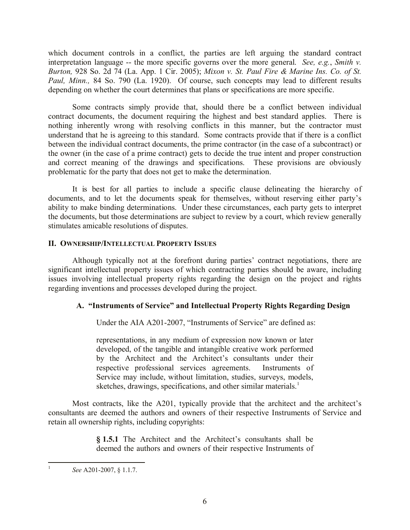which document controls in a conflict, the parties are left arguing the standard contract interpretation language -- the more specific governs over the more general. *See, e.g.*, *Smith v. Burton,* 928 So. 2d 74 (La. App. 1 Cir. 2005); *Mixon v. St. Paul Fire & Marine Ins. Co. of St. Paul, Minn.,* 84 So. 790 (La. 1920). Of course, such concepts may lead to different results depending on whether the court determines that plans or specifications are more specific.

Some contracts simply provide that, should there be a conflict between individual contract documents, the document requiring the highest and best standard applies. There is nothing inherently wrong with resolving conflicts in this manner, but the contractor must understand that he is agreeing to this standard. Some contracts provide that if there is a conflict between the individual contract documents, the prime contractor (in the case of a subcontract) or the owner (in the case of a prime contract) gets to decide the true intent and proper construction and correct meaning of the drawings and specifications. These provisions are obviously problematic for the party that does not get to make the determination.

It is best for all parties to include a specific clause delineating the hierarchy of documents, and to let the documents speak for themselves, without reserving either party's ability to make binding determinations. Under these circumstances, each party gets to interpret the documents, but those determinations are subject to review by a court, which review generally stimulates amicable resolutions of disputes.

## **II. OWNERSHIP/INTELLECTUAL PROPERTY ISSUES**

Although typically not at the forefront during parties' contract negotiations, there are significant intellectual property issues of which contracting parties should be aware, including issues involving intellectual property rights regarding the design on the project and rights regarding inventions and processes developed during the project.

# **A. "Instruments of Service" and Intellectual Property Rights Regarding Design**

Under the AIA A201-2007, "Instruments of Service" are defined as:

representations, in any medium of expression now known or later developed, of the tangible and intangible creative work performed by the Architect and the Architect's consultants under their respective professional services agreements. Instruments of Service may include, without limitation, studies, surveys, models, sketches, drawings, specifications, and other similar materials.<sup>1</sup>

Most contracts, like the A201, typically provide that the architect and the architect's consultants are deemed the authors and owners of their respective Instruments of Service and retain all ownership rights, including copyrights:

> **§ 1.5.1** The Architect and the Architect's consultants shall be deemed the authors and owners of their respective Instruments of

*See* A201-2007, § 1.1.7.

 $\frac{1}{1}$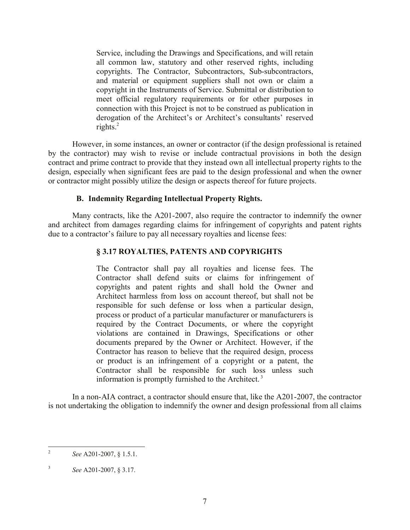Service, including the Drawings and Specifications, and will retain all common law, statutory and other reserved rights, including copyrights. The Contractor, Subcontractors, Sub-subcontractors, and material or equipment suppliers shall not own or claim a copyright in the Instruments of Service. Submittal or distribution to meet official regulatory requirements or for other purposes in connection with this Project is not to be construed as publication in derogation of the Architect's or Architect's consultants' reserved rights. $2$ 

However, in some instances, an owner or contractor (if the design professional is retained by the contractor) may wish to revise or include contractual provisions in both the design contract and prime contract to provide that they instead own all intellectual property rights to the design, especially when significant fees are paid to the design professional and when the owner or contractor might possibly utilize the design or aspects thereof for future projects.

## **B. Indemnity Regarding Intellectual Property Rights.**

Many contracts, like the A201-2007, also require the contractor to indemnify the owner and architect from damages regarding claims for infringement of copyrights and patent rights due to a contractor's failure to pay all necessary royalties and license fees:

## **§ 3.17 ROYALTIES, PATENTS AND COPYRIGHTS**

The Contractor shall pay all royalties and license fees. The Contractor shall defend suits or claims for infringement of copyrights and patent rights and shall hold the Owner and Architect harmless from loss on account thereof, but shall not be responsible for such defense or loss when a particular design, process or product of a particular manufacturer or manufacturers is required by the Contract Documents, or where the copyright violations are contained in Drawings, Specifications or other documents prepared by the Owner or Architect. However, if the Contractor has reason to believe that the required design, process or product is an infringement of a copyright or a patent, the Contractor shall be responsible for such loss unless such information is promptly furnished to the Architect.<sup>3</sup>

In a non-AIA contract, a contractor should ensure that, like the A201-2007, the contractor is not undertaking the obligation to indemnify the owner and design professional from all claims

 $\frac{1}{2}$ *See* A201-2007, § 1.5.1.

<sup>3</sup> *See* A201-2007, § 3.17.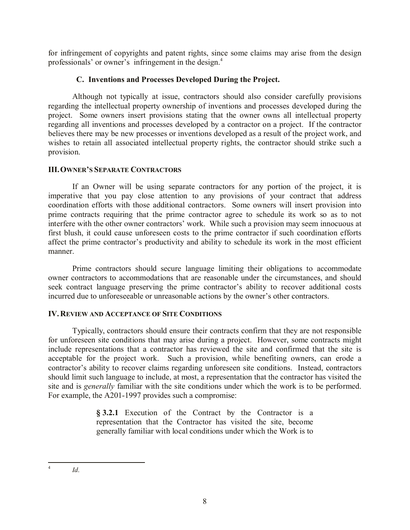for infringement of copyrights and patent rights, since some claims may arise from the design professionals' or owner's infringement in the design.<sup>4</sup>

# **C. Inventions and Processes Developed During the Project.**

Although not typically at issue, contractors should also consider carefully provisions regarding the intellectual property ownership of inventions and processes developed during the project. Some owners insert provisions stating that the owner owns all intellectual property regarding all inventions and processes developed by a contractor on a project. If the contractor believes there may be new processes or inventions developed as a result of the project work, and wishes to retain all associated intellectual property rights, the contractor should strike such a provision.

## **III.OWNER'S SEPARATE CONTRACTORS**

If an Owner will be using separate contractors for any portion of the project, it is imperative that you pay close attention to any provisions of your contract that address coordination efforts with those additional contractors. Some owners will insert provision into prime contracts requiring that the prime contractor agree to schedule its work so as to not interfere with the other owner contractors' work. While such a provision may seem innocuous at first blush, it could cause unforeseen costs to the prime contractor if such coordination efforts affect the prime contractor's productivity and ability to schedule its work in the most efficient manner.

Prime contractors should secure language limiting their obligations to accommodate owner contractors to accommodations that are reasonable under the circumstances, and should seek contract language preserving the prime contractor's ability to recover additional costs incurred due to unforeseeable or unreasonable actions by the owner's other contractors.

# **IV. REVIEW AND ACCEPTANCE OF SITE CONDITIONS**

Typically, contractors should ensure their contracts confirm that they are not responsible for unforeseen site conditions that may arise during a project. However, some contracts might include representations that a contractor has reviewed the site and confirmed that the site is acceptable for the project work. Such a provision, while benefiting owners, can erode a contractor's ability to recover claims regarding unforeseen site conditions. Instead, contractors should limit such language to include, at most, a representation that the contractor has visited the site and is *generally* familiar with the site conditions under which the work is to be performed. For example, the A201-1997 provides such a compromise:

> **§ 3.2.1** Execution of the Contract by the Contractor is a representation that the Contractor has visited the site, become generally familiar with local conditions under which the Work is to

 $\frac{1}{4}$ 

*Id*.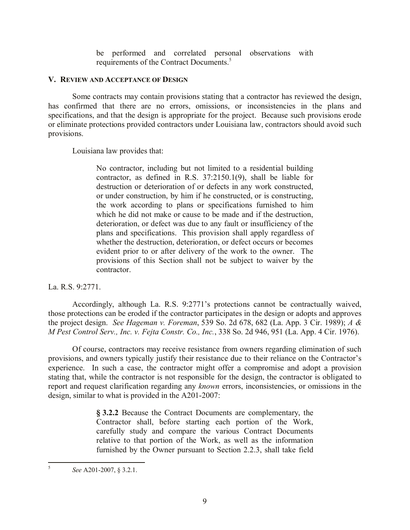be performed and correlated personal observations with requirements of the Contract Documents.<sup>5</sup>

#### **V. REVIEW AND ACCEPTANCE OF DESIGN**

Some contracts may contain provisions stating that a contractor has reviewed the design, has confirmed that there are no errors, omissions, or inconsistencies in the plans and specifications, and that the design is appropriate for the project. Because such provisions erode or eliminate protections provided contractors under Louisiana law, contractors should avoid such provisions.

Louisiana law provides that:

No contractor, including but not limited to a residential building contractor, as defined in R.S. 37:2150.1(9), shall be liable for destruction or deterioration of or defects in any work constructed, or under construction, by him if he constructed, or is constructing, the work according to plans or specifications furnished to him which he did not make or cause to be made and if the destruction. deterioration, or defect was due to any fault or insufficiency of the plans and specifications. This provision shall apply regardless of whether the destruction, deterioration, or defect occurs or becomes evident prior to or after delivery of the work to the owner. The provisions of this Section shall not be subject to waiver by the contractor.

La. R.S. 9:2771.

Accordingly, although La. R.S. 9:2771's protections cannot be contractually waived, those protections can be eroded if the contractor participates in the design or adopts and approves the project design. *See Hageman v. Foreman*, 539 So. 2d 678, 682 (La. App. 3 Cir. 1989); *A & M Pest Control Serv., Inc. v. Fejta Constr. Co., Inc.*, 338 So. 2d 946, 951 (La. App. 4 Cir. 1976).

Of course, contractors may receive resistance from owners regarding elimination of such provisions, and owners typically justify their resistance due to their reliance on the Contractor's experience. In such a case, the contractor might offer a compromise and adopt a provision stating that, while the contractor is not responsible for the design, the contractor is obligated to report and request clarification regarding any *known* errors, inconsistencies, or omissions in the design, similar to what is provided in the A201-2007:

> **§ 3.2.2** Because the Contract Documents are complementary, the Contractor shall, before starting each portion of the Work, carefully study and compare the various Contract Documents relative to that portion of the Work, as well as the information furnished by the Owner pursuant to Section 2.2.3, shall take field

 5 *See* A201-2007, § 3.2.1.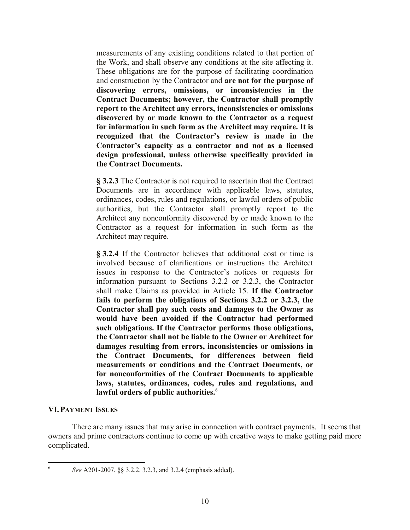measurements of any existing conditions related to that portion of the Work, and shall observe any conditions at the site affecting it. These obligations are for the purpose of facilitating coordination and construction by the Contractor and **are not for the purpose of discovering errors, omissions, or inconsistencies in the Contract Documents; however, the Contractor shall promptly report to the Architect any errors, inconsistencies or omissions discovered by or made known to the Contractor as a request for information in such form as the Architect may require. It is recognized that the Contractor's review is made in the Contractor's capacity as a contractor and not as a licensed design professional, unless otherwise specifically provided in the Contract Documents.** 

**§ 3.2.3** The Contractor is not required to ascertain that the Contract Documents are in accordance with applicable laws, statutes, ordinances, codes, rules and regulations, or lawful orders of public authorities, but the Contractor shall promptly report to the Architect any nonconformity discovered by or made known to the Contractor as a request for information in such form as the Architect may require.

**§ 3.2.4** If the Contractor believes that additional cost or time is involved because of clarifications or instructions the Architect issues in response to the Contractor's notices or requests for information pursuant to Sections 3.2.2 or 3.2.3, the Contractor shall make Claims as provided in Article 15. **If the Contractor fails to perform the obligations of Sections 3.2.2 or 3.2.3, the Contractor shall pay such costs and damages to the Owner as would have been avoided if the Contractor had performed such obligations. If the Contractor performs those obligations, the Contractor shall not be liable to the Owner or Architect for damages resulting from errors, inconsistencies or omissions in the Contract Documents, for differences between field measurements or conditions and the Contract Documents, or for nonconformities of the Contract Documents to applicable laws, statutes, ordinances, codes, rules and regulations, and lawful orders of public authorities.**<sup>6</sup>

### **VI.PAYMENT ISSUES**

There are many issues that may arise in connection with contract payments. It seems that owners and prime contractors continue to come up with creative ways to make getting paid more complicated.

 6

*See* A201-2007, §§ 3.2.2. 3.2.3, and 3.2.4 (emphasis added).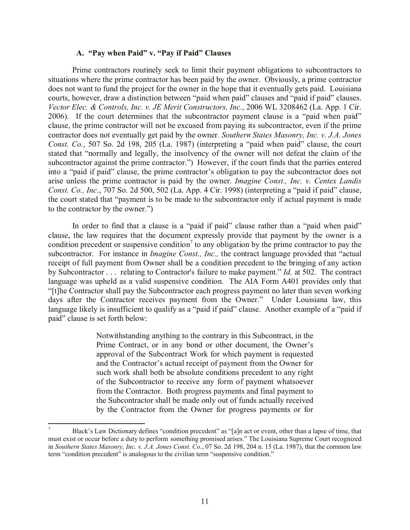#### **A. "Pay when Paid" v. "Pay if Paid" Clauses**

Prime contractors routinely seek to limit their payment obligations to subcontractors to situations where the prime contractor has been paid by the owner. Obviously, a prime contractor does not want to fund the project for the owner in the hope that it eventually gets paid. Louisiana courts, however, draw a distinction between "paid when paid" clauses and "paid if paid" clauses. *Vector Elec. & Controls, Inc. v. JE Merit Constructors, Inc.*, 2006 WL 3208462 (La. App. 1 Cir. 2006). If the court determines that the subcontractor payment clause is a "paid when paid" clause, the prime contractor will not be excused from paying its subcontractor, even if the prime contractor does not eventually get paid by the owner. *Southern States Masonry, Inc. v. J.A. Jones Const. Co.*, 507 So. 2d 198, 205 (La. 1987) (interpreting a "paid when paid" clause, the court stated that "normally and legally, the insolvency of the owner will not defeat the claim of the subcontractor against the prime contractor.") However, if the court finds that the parties entered into a "paid if paid" clause, the prime contractor's obligation to pay the subcontractor does not arise unless the prime contractor is paid by the owner. *Imagine Const., Inc. v. Centex Landis Const. Co., Inc.*, 707 So. 2d 500, 502 (La. App. 4 Cir. 1998) (interpreting a "paid if paid" clause, the court stated that "payment is to be made to the subcontractor only if actual payment is made to the contractor by the owner.")

In order to find that a clause is a "paid if paid" clause rather than a "paid when paid" clause, the law requires that the document expressly provide that payment by the owner is a condition precedent or suspensive condition<sup>7</sup> to any obligation by the prime contractor to pay the subcontractor. For instance in *Imagine Const., Inc.,* the contract language provided that "actual receipt of full payment from Owner shall be a condition precedent to the bringing of any action by Subcontractor . . . relating to Contractor's failure to make payment." *Id.* at 502. The contract language was upheld as a valid suspensive condition. The AIA Form A401 provides only that "[t]he Contractor shall pay the Subcontractor each progress payment no later than seven working days after the Contractor receives payment from the Owner." Under Louisiana law, this language likely is insufficient to qualify as a "paid if paid" clause. Another example of a "paid if paid" clause is set forth below:

> Notwithstanding anything to the contrary in this Subcontract, in the Prime Contract, or in any bond or other document, the Owner's approval of the Subcontract Work for which payment is requested and the Contractor's actual receipt of payment from the Owner for such work shall both be absolute conditions precedent to any right of the Subcontractor to receive any form of payment whatsoever from the Contractor. Both progress payments and final payment to the Subcontractor shall be made only out of funds actually received by the Contractor from the Owner for progress payments or for

 $\overline{a}$ <sup>7</sup> Black's Law Dictionary defines "condition precedent" as "[a]n act or event, other than a lapse of time, that must exist or occur before a duty to perform something promised arises." The Louisiana Supreme Court recognized in *Southern States Masonry, Inc. v. J.A. Jones Const. Co.*, 07 So. 2d 198, 204 n. 15 (La. 1987), that the common law term "condition precedent" is analogous to the civilian term "suspensive condition."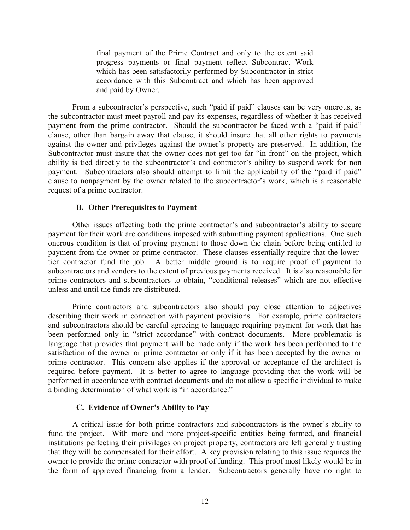final payment of the Prime Contract and only to the extent said progress payments or final payment reflect Subcontract Work which has been satisfactorily performed by Subcontractor in strict accordance with this Subcontract and which has been approved and paid by Owner.

From a subcontractor's perspective, such "paid if paid" clauses can be very onerous, as the subcontractor must meet payroll and pay its expenses, regardless of whether it has received payment from the prime contractor. Should the subcontractor be faced with a "paid if paid" clause, other than bargain away that clause, it should insure that all other rights to payments against the owner and privileges against the owner's property are preserved. In addition, the Subcontractor must insure that the owner does not get too far "in front" on the project, which ability is tied directly to the subcontractor's and contractor's ability to suspend work for non payment. Subcontractors also should attempt to limit the applicability of the "paid if paid" clause to nonpayment by the owner related to the subcontractor's work, which is a reasonable request of a prime contractor.

#### **B. Other Prerequisites to Payment**

Other issues affecting both the prime contractor's and subcontractor's ability to secure payment for their work are conditions imposed with submitting payment applications. One such onerous condition is that of proving payment to those down the chain before being entitled to payment from the owner or prime contractor. These clauses essentially require that the lowertier contractor fund the job. A better middle ground is to require proof of payment to subcontractors and vendors to the extent of previous payments received. It is also reasonable for prime contractors and subcontractors to obtain, "conditional releases" which are not effective unless and until the funds are distributed.

Prime contractors and subcontractors also should pay close attention to adjectives describing their work in connection with payment provisions. For example, prime contractors and subcontractors should be careful agreeing to language requiring payment for work that has been performed only in "strict accordance" with contract documents. More problematic is language that provides that payment will be made only if the work has been performed to the satisfaction of the owner or prime contractor or only if it has been accepted by the owner or prime contractor. This concern also applies if the approval or acceptance of the architect is required before payment. It is better to agree to language providing that the work will be performed in accordance with contract documents and do not allow a specific individual to make a binding determination of what work is "in accordance."

### **C. Evidence of Owner's Ability to Pay**

A critical issue for both prime contractors and subcontractors is the owner's ability to fund the project. With more and more project-specific entities being formed, and financial institutions perfecting their privileges on project property, contractors are left generally trusting that they will be compensated for their effort. A key provision relating to this issue requires the owner to provide the prime contractor with proof of funding. This proof most likely would be in the form of approved financing from a lender. Subcontractors generally have no right to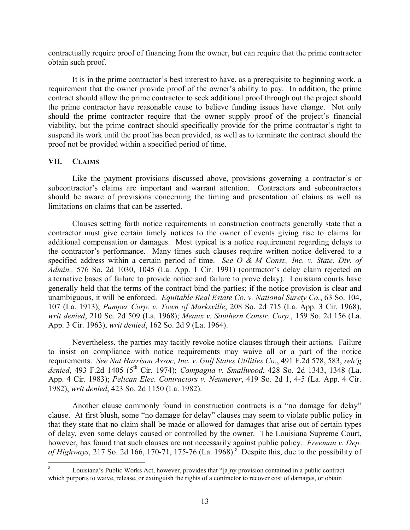contractually require proof of financing from the owner, but can require that the prime contractor obtain such proof.

It is in the prime contractor's best interest to have, as a prerequisite to beginning work, a requirement that the owner provide proof of the owner's ability to pay. In addition, the prime contract should allow the prime contractor to seek additional proof through out the project should the prime contractor have reasonable cause to believe funding issues have change. Not only should the prime contractor require that the owner supply proof of the project's financial viability, but the prime contract should specifically provide for the prime contractor's right to suspend its work until the proof has been provided, as well as to terminate the contract should the proof not be provided within a specified period of time.

### **VII. CLAIMS**

Like the payment provisions discussed above, provisions governing a contractor's or subcontractor's claims are important and warrant attention. Contractors and subcontractors should be aware of provisions concerning the timing and presentation of claims as well as limitations on claims that can be asserted.

Clauses setting forth notice requirements in construction contracts generally state that a contractor must give certain timely notices to the owner of events giving rise to claims for additional compensation or damages. Most typical is a notice requirement regarding delays to the contractor's performance. Many times such clauses require written notice delivered to a specified address within a certain period of time. *See O & M Const., Inc. v. State, Div. of Admin.,* 576 So. 2d 1030, 1045 (La. App. 1 Cir. 1991) (contractor's delay claim rejected on alternative bases of failure to provide notice and failure to prove delay). Louisiana courts have generally held that the terms of the contract bind the parties; if the notice provision is clear and unambiguous, it will be enforced. *Equitable Real Estate Co. v. National Surety Co.*, 63 So. 104, 107 (La. 1913); *Pamper Corp. v. Town of Marksville*, 208 So. 2d 715 (La. App. 3 Cir. 1968), *writ denied*, 210 So. 2d 509 (La. 1968); *Meaux v. Southern Constr. Corp.*, 159 So. 2d 156 (La. App. 3 Cir. 1963), *writ denied*, 162 So. 2d 9 (La. 1964).

Nevertheless, the parties may tacitly revoke notice clauses through their actions. Failure to insist on compliance with notice requirements may waive all or a part of the notice requirements. *See Nat Harrison Assoc, Inc. v. Gulf States Utilities Co.*, 491 F.2d 578, 583, *reh'g*  denied, 493 F.2d 1405 (5<sup>th</sup> Cir. 1974); *Compagna v. Smallwood*, 428 So. 2d 1343, 1348 (La. App. 4 Cir. 1983); *Pelican Elec. Contractors v. Neumeyer*, 419 So. 2d 1, 4-5 (La. App. 4 Cir. 1982), *writ denied*, 423 So. 2d 1150 (La. 1982).

Another clause commonly found in construction contracts is a "no damage for delay" clause. At first blush, some "no damage for delay" clauses may seem to violate public policy in that they state that no claim shall be made or allowed for damages that arise out of certain types of delay, even some delays caused or controlled by the owner. The Louisiana Supreme Court, however, has found that such clauses are not necessarily against public policy. *Freeman v. Dep.*  of Highways, 217 So. 2d 166, 170-71, 175-76 (La. 1968).<sup>8</sup> Despite this, due to the possibility of

 $\overline{a}$ <sup>8</sup> Louisiana's Public Works Act, however, provides that "[a]ny provision contained in a public contract which purports to waive, release, or extinguish the rights of a contractor to recover cost of damages, or obtain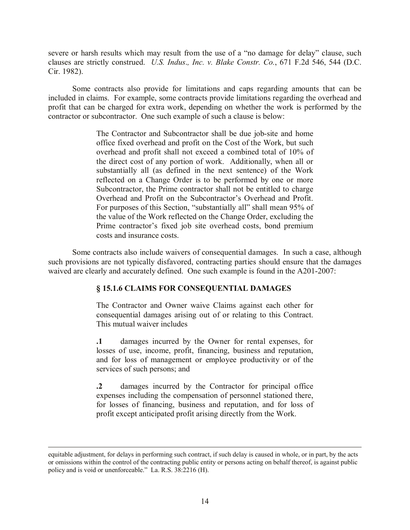severe or harsh results which may result from the use of a "no damage for delay" clause, such clauses are strictly construed. *U.S. Indus*.*, Inc. v. Blake Constr. Co.*, 671 F.2d 546, 544 (D.C. Cir. 1982).

Some contracts also provide for limitations and caps regarding amounts that can be included in claims. For example, some contracts provide limitations regarding the overhead and profit that can be charged for extra work, depending on whether the work is performed by the contractor or subcontractor. One such example of such a clause is below:

> The Contractor and Subcontractor shall be due job-site and home office fixed overhead and profit on the Cost of the Work, but such overhead and profit shall not exceed a combined total of 10% of the direct cost of any portion of work. Additionally, when all or substantially all (as defined in the next sentence) of the Work reflected on a Change Order is to be performed by one or more Subcontractor, the Prime contractor shall not be entitled to charge Overhead and Profit on the Subcontractor's Overhead and Profit. For purposes of this Section, "substantially all" shall mean 95% of the value of the Work reflected on the Change Order, excluding the Prime contractor's fixed job site overhead costs, bond premium costs and insurance costs.

Some contracts also include waivers of consequential damages. In such a case, although such provisions are not typically disfavored, contracting parties should ensure that the damages waived are clearly and accurately defined. One such example is found in the A201-2007:

# **§ 15.1.6 CLAIMS FOR CONSEQUENTIAL DAMAGES**

The Contractor and Owner waive Claims against each other for consequential damages arising out of or relating to this Contract. This mutual waiver includes

**.1** damages incurred by the Owner for rental expenses, for losses of use, income, profit, financing, business and reputation, and for loss of management or employee productivity or of the services of such persons; and

**.2** damages incurred by the Contractor for principal office expenses including the compensation of personnel stationed there, for losses of financing, business and reputation, and for loss of profit except anticipated profit arising directly from the Work.

 $\overline{a}$ equitable adjustment, for delays in performing such contract, if such delay is caused in whole, or in part, by the acts or omissions within the control of the contracting public entity or persons acting on behalf thereof, is against public policy and is void or unenforceable." La. R.S. 38:2216 (H).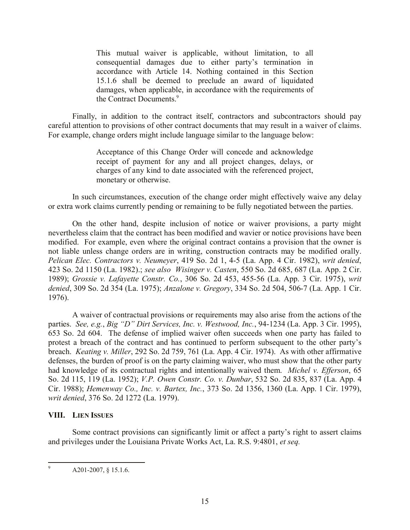This mutual waiver is applicable, without limitation, to all consequential damages due to either party's termination in accordance with Article 14. Nothing contained in this Section 15.1.6 shall be deemed to preclude an award of liquidated damages, when applicable, in accordance with the requirements of the Contract Documents.<sup>9</sup>

Finally, in addition to the contract itself, contractors and subcontractors should pay careful attention to provisions of other contract documents that may result in a waiver of claims. For example, change orders might include language similar to the language below:

> Acceptance of this Change Order will concede and acknowledge receipt of payment for any and all project changes, delays, or charges of any kind to date associated with the referenced project, monetary or otherwise.

In such circumstances, execution of the change order might effectively waive any delay or extra work claims currently pending or remaining to be fully negotiated between the parties.

On the other hand, despite inclusion of notice or waiver provisions, a party might nevertheless claim that the contract has been modified and wavier or notice provisions have been modified. For example, even where the original contract contains a provision that the owner is not liable unless change orders are in writing, construction contracts may be modified orally. *Pelican Elec. Contractors v. Neumeyer*, 419 So. 2d 1, 4-5 (La. App. 4 Cir. 1982), *writ denied*, 423 So. 2d 1150 (La. 1982).; *see also Wisinger v. Casten*, 550 So. 2d 685, 687 (La. App. 2 Cir. 1989); *Grossie v. Lafayette Constr. Co.*, 306 So. 2d 453, 455-56 (La. App. 3 Cir. 1975), *writ denied*, 309 So. 2d 354 (La. 1975); *Anzalone v. Gregory*, 334 So. 2d 504, 506-7 (La. App. 1 Cir. 1976).

A waiver of contractual provisions or requirements may also arise from the actions of the parties. *See, e.g.*, *Big "D" Dirt Services, Inc. v. Westwood, Inc.*, 94-1234 (La. App. 3 Cir. 1995), 653 So. 2d 604. The defense of implied waiver often succeeds when one party has failed to protest a breach of the contract and has continued to perform subsequent to the other party's breach. *Keating v. Miller*, 292 So. 2d 759, 761 (La. App. 4 Cir. 1974). As with other affirmative defenses, the burden of proof is on the party claiming waiver, who must show that the other party had knowledge of its contractual rights and intentionally waived them. *Michel v. Efferson*, 65 So. 2d 115, 119 (La. 1952); *V.P. Owen Constr. Co. v. Dunbar*, 532 So. 2d 835, 837 (La. App. 4 Cir. 1988); *Hemenway Co., Inc. v. Bartex, Inc.*, 373 So. 2d 1356, 1360 (La. App. 1 Cir. 1979), *writ denied*, 376 So. 2d 1272 (La. 1979).

### **VIII. LIEN ISSUES**

Some contract provisions can significantly limit or affect a party's right to assert claims and privileges under the Louisiana Private Works Act, La. R.S. 9:4801, *et seq.*

 $\overline{9}$ A201-2007, § 15.1.6.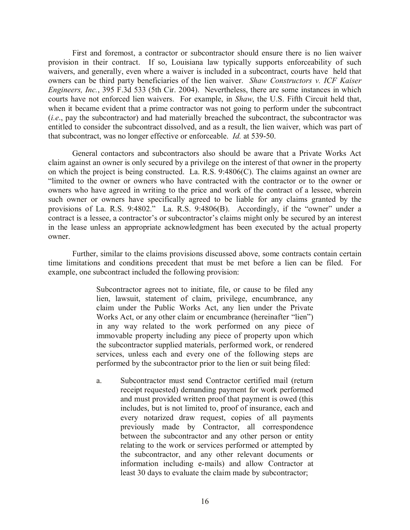First and foremost, a contractor or subcontractor should ensure there is no lien waiver provision in their contract. If so, Louisiana law typically supports enforceability of such waivers, and generally, even where a waiver is included in a subcontract, courts have held that owners can be third party beneficiaries of the lien waiver. *Shaw Constructors v. ICF Kaiser Engineers, Inc.*, 395 F.3d 533 (5th Cir. 2004). Nevertheless, there are some instances in which courts have not enforced lien waivers. For example, in *Shaw*, the U.S. Fifth Circuit held that, when it became evident that a prime contractor was not going to perform under the subcontract (*i.e*., pay the subcontractor) and had materially breached the subcontract, the subcontractor was entitled to consider the subcontract dissolved, and as a result, the lien waiver, which was part of that subcontract, was no longer effective or enforceable. *Id.* at 539-50.

General contactors and subcontractors also should be aware that a Private Works Act claim against an owner is only secured by a privilege on the interest of that owner in the property on which the project is being constructed. La. R.S. 9:4806(C). The claims against an owner are "limited to the owner or owners who have contracted with the contractor or to the owner or owners who have agreed in writing to the price and work of the contract of a lessee, wherein such owner or owners have specifically agreed to be liable for any claims granted by the provisions of La. R.S. 9:4802." La. R.S. 9:4806(B). Accordingly, if the "owner" under a contract is a lessee, a contractor's or subcontractor's claims might only be secured by an interest in the lease unless an appropriate acknowledgment has been executed by the actual property owner.

Further, similar to the claims provisions discussed above, some contracts contain certain time limitations and conditions precedent that must be met before a lien can be filed. For example, one subcontract included the following provision:

> Subcontractor agrees not to initiate, file, or cause to be filed any lien, lawsuit, statement of claim, privilege, encumbrance, any claim under the Public Works Act, any lien under the Private Works Act, or any other claim or encumbrance (hereinafter "lien") in any way related to the work performed on any piece of immovable property including any piece of property upon which the subcontractor supplied materials, performed work, or rendered services, unless each and every one of the following steps are performed by the subcontractor prior to the lien or suit being filed:

> a. Subcontractor must send Contractor certified mail (return receipt requested) demanding payment for work performed and must provided written proof that payment is owed (this includes, but is not limited to, proof of insurance, each and every notarized draw request, copies of all payments previously made by Contractor, all correspondence between the subcontractor and any other person or entity relating to the work or services performed or attempted by the subcontractor, and any other relevant documents or information including e-mails) and allow Contractor at least 30 days to evaluate the claim made by subcontractor;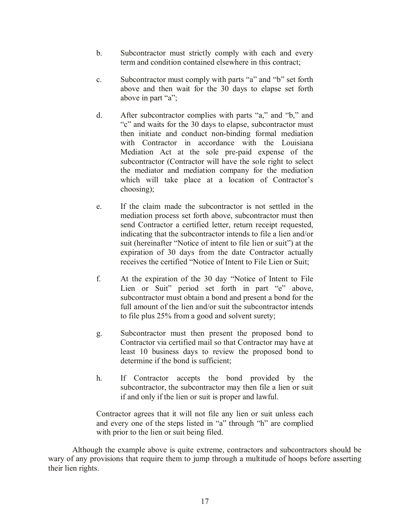- b. Subcontractor must strictly comply with each and every term and condition contained elsewhere in this contract;
- c. Subcontractor must comply with parts "a" and "b" set forth above and then wait for the 30 days to elapse set forth above in part "a";
- d. After subcontractor complies with parts "a," and "b," and "c" and waits for the 30 days to elapse, subcontractor must then initiate and conduct non-binding formal mediation with Contractor in accordance with the Louisiana Mediation Act at the sole pre-paid expense of the subcontractor (Contractor will have the sole right to select the mediator and mediation company for the mediation which will take place at a location of Contractor's choosing);
- e. If the claim made the subcontractor is not settled in the mediation process set forth above, subcontractor must then send Contractor a certified letter, return receipt requested, indicating that the subcontractor intends to file a lien and/or suit (hereinafter "Notice of intent to file lien or suit") at the expiration of 30 days from the date Contractor actually receives the certified "Notice of Intent to File Lien or Suit;
- f. At the expiration of the 30 day "Notice of Intent to File Lien or Suit" period set forth in part "e" above, subcontractor must obtain a bond and present a bond for the full amount of the lien and/or suit the subcontractor intends to file plus 25% from a good and solvent surety;
- g. Subcontractor must then present the proposed bond to Contractor via certified mail so that Contractor may have at least 10 business days to review the proposed bond to determine if the bond is sufficient;
- h. If Contractor accepts the bond provided by the subcontractor, the subcontractor may then file a lien or suit if and only if the lien or suit is proper and lawful.

Contractor agrees that it will not file any lien or suit unless each and every one of the steps listed in "a" through "h" are complied with prior to the lien or suit being filed.

Although the example above is quite extreme, contractors and subcontractors should be wary of any provisions that require them to jump through a multitude of hoops before asserting their lien rights.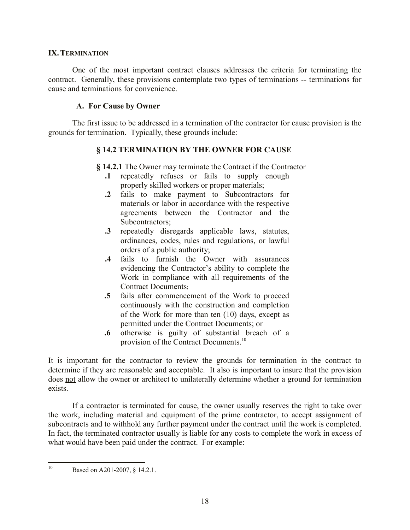#### **IX.TERMINATION**

One of the most important contract clauses addresses the criteria for terminating the contract. Generally, these provisions contemplate two types of terminations -- terminations for cause and terminations for convenience.

### **A. For Cause by Owner**

The first issue to be addressed in a termination of the contractor for cause provision is the grounds for termination. Typically, these grounds include:

## **§ 14.2 TERMINATION BY THE OWNER FOR CAUSE**

- **§ 14.2.1** The Owner may terminate the Contract if the Contractor
	- **.1** repeatedly refuses or fails to supply enough properly skilled workers or proper materials;
	- **.2** fails to make payment to Subcontractors for materials or labor in accordance with the respective agreements between the Contractor and the Subcontractors;
	- **.3** repeatedly disregards applicable laws, statutes, ordinances, codes, rules and regulations, or lawful orders of a public authority;
	- **.4** fails to furnish the Owner with assurances evidencing the Contractor's ability to complete the Work in compliance with all requirements of the Contract Documents;
	- **.5** fails after commencement of the Work to proceed continuously with the construction and completion of the Work for more than ten (10) days, except as permitted under the Contract Documents; or
	- **.6** otherwise is guilty of substantial breach of a provision of the Contract Documents.<sup>10</sup>

It is important for the contractor to review the grounds for termination in the contract to determine if they are reasonable and acceptable. It also is important to insure that the provision does not allow the owner or architect to unilaterally determine whether a ground for termination exists.

If a contractor is terminated for cause, the owner usually reserves the right to take over the work, including material and equipment of the prime contractor, to accept assignment of subcontracts and to withhold any further payment under the contract until the work is completed. In fact, the terminated contractor usually is liable for any costs to complete the work in excess of what would have been paid under the contract. For example:

 $10<sup>10</sup>$ Based on A201-2007, § 14.2.1.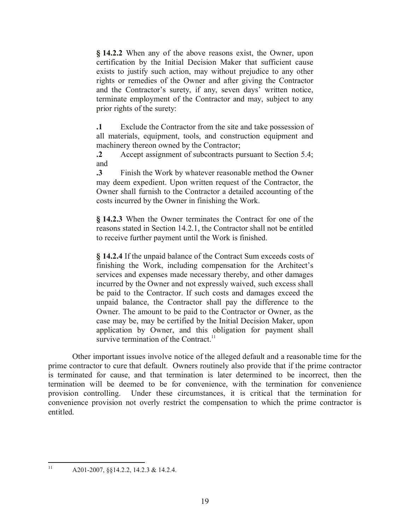**§ 14.2.2** When any of the above reasons exist, the Owner, upon certification by the Initial Decision Maker that sufficient cause exists to justify such action, may without prejudice to any other rights or remedies of the Owner and after giving the Contractor and the Contractor's surety, if any, seven days' written notice, terminate employment of the Contractor and may, subject to any prior rights of the surety:

**.1** Exclude the Contractor from the site and take possession of all materials, equipment, tools, and construction equipment and machinery thereon owned by the Contractor;

**.2** Accept assignment of subcontracts pursuant to Section 5.4; and

**.3** Finish the Work by whatever reasonable method the Owner may deem expedient. Upon written request of the Contractor, the Owner shall furnish to the Contractor a detailed accounting of the costs incurred by the Owner in finishing the Work.

**§ 14.2.3** When the Owner terminates the Contract for one of the reasons stated in Section 14.2.1, the Contractor shall not be entitled to receive further payment until the Work is finished.

**§ 14.2.4** If the unpaid balance of the Contract Sum exceeds costs of finishing the Work, including compensation for the Architect's services and expenses made necessary thereby, and other damages incurred by the Owner and not expressly waived, such excess shall be paid to the Contractor. If such costs and damages exceed the unpaid balance, the Contractor shall pay the difference to the Owner. The amount to be paid to the Contractor or Owner, as the case may be, may be certified by the Initial Decision Maker, upon application by Owner, and this obligation for payment shall survive termination of the Contract.<sup>11</sup>

Other important issues involve notice of the alleged default and a reasonable time for the prime contractor to cure that default. Owners routinely also provide that if the prime contractor is terminated for cause, and that termination is later determined to be incorrect, then the termination will be deemed to be for convenience, with the termination for convenience provision controlling. Under these circumstances, it is critical that the termination for convenience provision not overly restrict the compensation to which the prime contractor is entitled.

 $11$ <sup>11</sup> A201-2007, §§14.2.2, 14.2.3 & 14.2.4.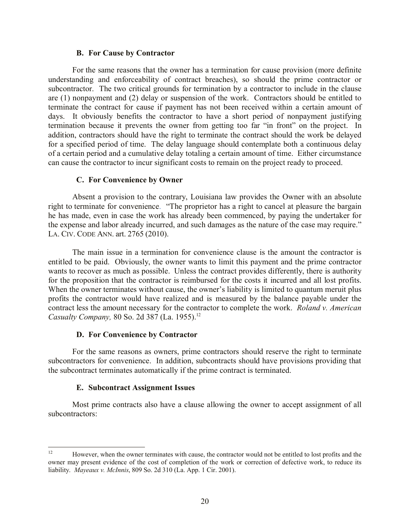#### **B. For Cause by Contractor**

For the same reasons that the owner has a termination for cause provision (more definite understanding and enforceability of contract breaches), so should the prime contractor or subcontractor. The two critical grounds for termination by a contractor to include in the clause are (1) nonpayment and (2) delay or suspension of the work. Contractors should be entitled to terminate the contract for cause if payment has not been received within a certain amount of days. It obviously benefits the contractor to have a short period of nonpayment justifying termination because it prevents the owner from getting too far "in front" on the project. In addition, contractors should have the right to terminate the contract should the work be delayed for a specified period of time. The delay language should contemplate both a continuous delay of a certain period and a cumulative delay totaling a certain amount of time. Either circumstance can cause the contractor to incur significant costs to remain on the project ready to proceed.

### **C. For Convenience by Owner**

Absent a provision to the contrary, Louisiana law provides the Owner with an absolute right to terminate for convenience. "The proprietor has a right to cancel at pleasure the bargain he has made, even in case the work has already been commenced, by paying the undertaker for the expense and labor already incurred, and such damages as the nature of the case may require." LA. CIV. CODE ANN. art. 2765 (2010).

The main issue in a termination for convenience clause is the amount the contractor is entitled to be paid. Obviously, the owner wants to limit this payment and the prime contractor wants to recover as much as possible. Unless the contract provides differently, there is authority for the proposition that the contractor is reimbursed for the costs it incurred and all lost profits. When the owner terminates without cause, the owner's liability is limited to quantum meruit plus profits the contractor would have realized and is measured by the balance payable under the contract less the amount necessary for the contractor to complete the work. *Roland v. American Casualty Company,* 80 So. 2d 387 (La. 1955).<sup>12</sup>

### **D. For Convenience by Contractor**

For the same reasons as owners, prime contractors should reserve the right to terminate subcontractors for convenience. In addition, subcontracts should have provisions providing that the subcontract terminates automatically if the prime contract is terminated.

### **E. Subcontract Assignment Issues**

Most prime contracts also have a clause allowing the owner to accept assignment of all subcontractors:

 $12<sup>12</sup>$ <sup>12</sup> However, when the owner terminates with cause, the contractor would not be entitled to lost profits and the owner may present evidence of the cost of completion of the work or correction of defective work, to reduce its liability. *Mayeaux v. McInnis*, 809 So. 2d 310 (La. App. 1 Cir. 2001).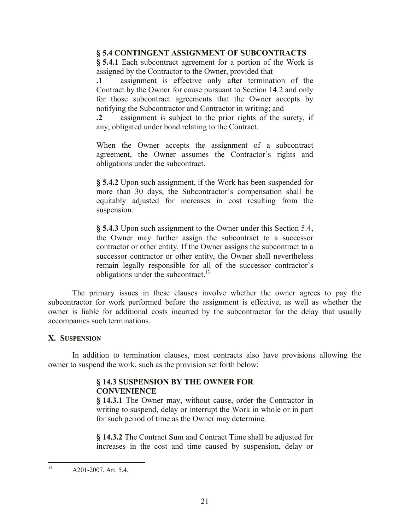## **§ 5.4 CONTINGENT ASSIGNMENT OF SUBCONTRACTS**

**§ 5.4.1** Each subcontract agreement for a portion of the Work is assigned by the Contractor to the Owner, provided that

**.1** assignment is effective only after termination of the Contract by the Owner for cause pursuant to Section 14.2 and only for those subcontract agreements that the Owner accepts by notifying the Subcontractor and Contractor in writing; and

**.2** assignment is subject to the prior rights of the surety, if any, obligated under bond relating to the Contract.

When the Owner accepts the assignment of a subcontract agreement, the Owner assumes the Contractor's rights and obligations under the subcontract.

**§ 5.4.2** Upon such assignment, if the Work has been suspended for more than 30 days, the Subcontractor's compensation shall be equitably adjusted for increases in cost resulting from the suspension.

**§ 5.4.3** Upon such assignment to the Owner under this Section 5.4, the Owner may further assign the subcontract to a successor contractor or other entity. If the Owner assigns the subcontract to a successor contractor or other entity, the Owner shall nevertheless remain legally responsible for all of the successor contractor's obligations under the subcontract.<sup>13</sup>

The primary issues in these clauses involve whether the owner agrees to pay the subcontractor for work performed before the assignment is effective, as well as whether the owner is liable for additional costs incurred by the subcontractor for the delay that usually accompanies such terminations.

# **X. SUSPENSION**

In addition to termination clauses, most contracts also have provisions allowing the owner to suspend the work, such as the provision set forth below:

# **§ 14.3 SUSPENSION BY THE OWNER FOR CONVENIENCE**

**§ 14.3.1** The Owner may, without cause, order the Contractor in writing to suspend, delay or interrupt the Work in whole or in part for such period of time as the Owner may determine.

**§ 14.3.2** The Contract Sum and Contract Time shall be adjusted for increases in the cost and time caused by suspension, delay or

 $13$ A201-2007, Art. 5.4.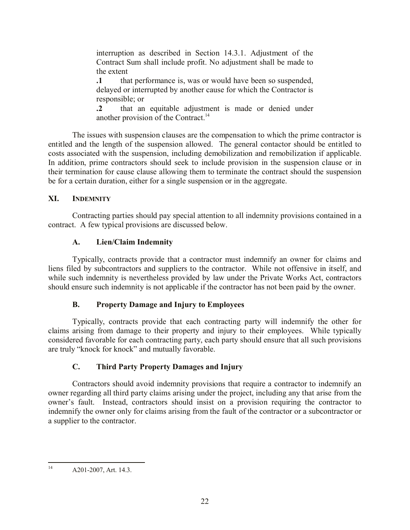interruption as described in Section 14.3.1. Adjustment of the Contract Sum shall include profit. No adjustment shall be made to the extent

**.1** that performance is, was or would have been so suspended, delayed or interrupted by another cause for which the Contractor is responsible; or

**.2** that an equitable adjustment is made or denied under another provision of the Contract.<sup>14</sup>

The issues with suspension clauses are the compensation to which the prime contractor is entitled and the length of the suspension allowed. The general contactor should be entitled to costs associated with the suspension, including demobilization and remobilization if applicable. In addition, prime contractors should seek to include provision in the suspension clause or in their termination for cause clause allowing them to terminate the contract should the suspension be for a certain duration, either for a single suspension or in the aggregate.

# **XI. INDEMNITY**

Contracting parties should pay special attention to all indemnity provisions contained in a contract. A few typical provisions are discussed below.

# **A. Lien/Claim Indemnity**

Typically, contracts provide that a contractor must indemnify an owner for claims and liens filed by subcontractors and suppliers to the contractor. While not offensive in itself, and while such indemnity is nevertheless provided by law under the Private Works Act, contractors should ensure such indemnity is not applicable if the contractor has not been paid by the owner.

# **B. Property Damage and Injury to Employees**

Typically, contracts provide that each contracting party will indemnify the other for claims arising from damage to their property and injury to their employees. While typically considered favorable for each contracting party, each party should ensure that all such provisions are truly "knock for knock" and mutually favorable.

# **C. Third Party Property Damages and Injury**

Contractors should avoid indemnity provisions that require a contractor to indemnify an owner regarding all third party claims arising under the project, including any that arise from the owner's fault. Instead, contractors should insist on a provision requiring the contractor to indemnify the owner only for claims arising from the fault of the contractor or a subcontractor or a supplier to the contractor.

 $14$ A201-2007, Art. 14.3.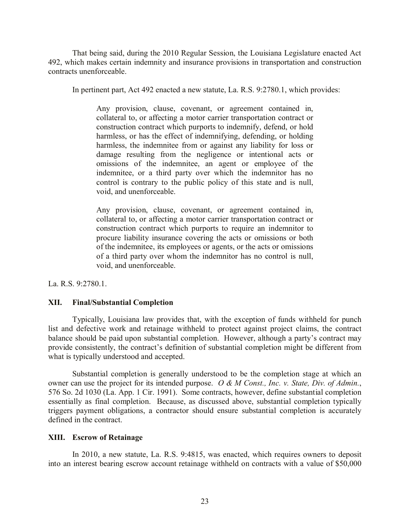That being said, during the 2010 Regular Session, the Louisiana Legislature enacted Act 492, which makes certain indemnity and insurance provisions in transportation and construction contracts unenforceable.

In pertinent part, Act 492 enacted a new statute, La. R.S. 9:2780.1, which provides:

Any provision, clause, covenant, or agreement contained in, collateral to, or affecting a motor carrier transportation contract or construction contract which purports to indemnify, defend, or hold harmless, or has the effect of indemnifying, defending, or holding harmless, the indemnitee from or against any liability for loss or damage resulting from the negligence or intentional acts or omissions of the indemnitee, an agent or employee of the indemnitee, or a third party over which the indemnitor has no control is contrary to the public policy of this state and is null, void, and unenforceable.

Any provision, clause, covenant, or agreement contained in, collateral to, or affecting a motor carrier transportation contract or construction contract which purports to require an indemnitor to procure liability insurance covering the acts or omissions or both of the indemnitee, its employees or agents, or the acts or omissions of a third party over whom the indemnitor has no control is null, void, and unenforceable.

La. R.S. 9:2780.1.

### **XII. Final/Substantial Completion**

Typically, Louisiana law provides that, with the exception of funds withheld for punch list and defective work and retainage withheld to protect against project claims, the contract balance should be paid upon substantial completion. However, although a party's contract may provide consistently, the contract's definition of substantial completion might be different from what is typically understood and accepted.

Substantial completion is generally understood to be the completion stage at which an owner can use the project for its intended purpose. *O & M Const., Inc. v. State, Div. of Admin.*, 576 So. 2d 1030 (La. App. 1 Cir. 1991). Some contracts, however, define substantial completion essentially as final completion. Because, as discussed above, substantial completion typically triggers payment obligations, a contractor should ensure substantial completion is accurately defined in the contract.

### **XIII. Escrow of Retainage**

In 2010, a new statute, La. R.S. 9:4815, was enacted, which requires owners to deposit into an interest bearing escrow account retainage withheld on contracts with a value of \$50,000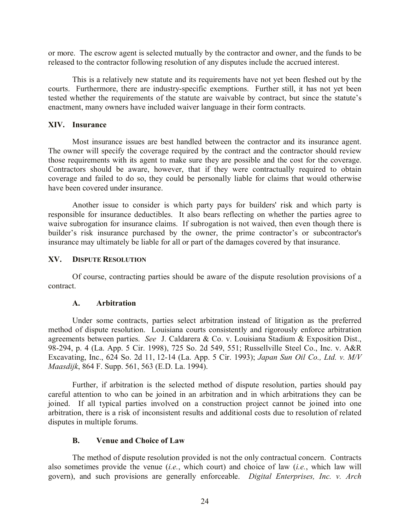or more. The escrow agent is selected mutually by the contractor and owner, and the funds to be released to the contractor following resolution of any disputes include the accrued interest.

This is a relatively new statute and its requirements have not yet been fleshed out by the courts. Furthermore, there are industry-specific exemptions. Further still, it has not yet been tested whether the requirements of the statute are waivable by contract, but since the statute's enactment, many owners have included waiver language in their form contracts.

#### **XIV. Insurance**

Most insurance issues are best handled between the contractor and its insurance agent. The owner will specify the coverage required by the contract and the contractor should review those requirements with its agent to make sure they are possible and the cost for the coverage. Contractors should be aware, however, that if they were contractually required to obtain coverage and failed to do so, they could be personally liable for claims that would otherwise have been covered under insurance.

Another issue to consider is which party pays for builders' risk and which party is responsible for insurance deductibles. It also bears reflecting on whether the parties agree to waive subrogation for insurance claims. If subrogation is not waived, then even though there is builder's risk insurance purchased by the owner, the prime contractor's or subcontractor's insurance may ultimately be liable for all or part of the damages covered by that insurance.

#### **XV. DISPUTE RESOLUTION**

Of course, contracting parties should be aware of the dispute resolution provisions of a contract.

#### **A. Arbitration**

Under some contracts, parties select arbitration instead of litigation as the preferred method of dispute resolution. Louisiana courts consistently and rigorously enforce arbitration agreements between parties. *See* J. Caldarera & Co. v. Louisiana Stadium & Exposition Dist., 98-294, p. 4 (La. App. 5 Cir. 1998), 725 So. 2d 549, 551; Russellville Steel Co., Inc. v. A&R Excavating, Inc., 624 So. 2d 11, 12-14 (La. App. 5 Cir. 1993); *Japan Sun Oil Co., Ltd. v. M/V Maasdijk*, 864 F. Supp. 561, 563 (E.D. La. 1994).

Further, if arbitration is the selected method of dispute resolution, parties should pay careful attention to who can be joined in an arbitration and in which arbitrations they can be joined. If all typical parties involved on a construction project cannot be joined into one arbitration, there is a risk of inconsistent results and additional costs due to resolution of related disputes in multiple forums.

### **B. Venue and Choice of Law**

The method of dispute resolution provided is not the only contractual concern. Contracts also sometimes provide the venue (*i.e.*, which court) and choice of law (*i.e.*, which law will govern), and such provisions are generally enforceable. *Digital Enterprises, Inc. v. Arch*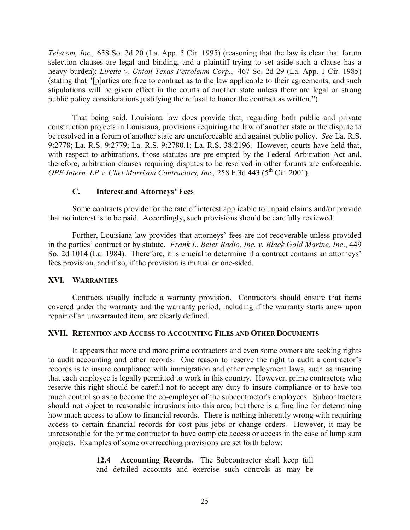*Telecom, Inc.,* 658 So. 2d 20 (La. App. 5 Cir. 1995) (reasoning that the law is clear that forum selection clauses are legal and binding, and a plaintiff trying to set aside such a clause has a heavy burden); *Lirette v. Union Texas Petroleum Corp.*, 467 So. 2d 29 (La. App. 1 Cir. 1985) (stating that "[p]arties are free to contract as to the law applicable to their agreements, and such stipulations will be given effect in the courts of another state unless there are legal or strong public policy considerations justifying the refusal to honor the contract as written.")

That being said, Louisiana law does provide that, regarding both public and private construction projects in Louisiana, provisions requiring the law of another state or the dispute to be resolved in a forum of another state are unenforceable and against public policy. *See* La. R.S. 9:2778; La. R.S. 9:2779; La. R.S. 9:2780.1; La. R.S. 38:2196. However, courts have held that, with respect to arbitrations, those statutes are pre-empted by the Federal Arbitration Act and, therefore, arbitration clauses requiring disputes to be resolved in other forums are enforceable. *OPE Intern. LP v. Chet Morrison Contractors, Inc.,* 258 F.3d 443 (5<sup>th</sup> Cir. 2001).

### **C. Interest and Attorneys' Fees**

Some contracts provide for the rate of interest applicable to unpaid claims and/or provide that no interest is to be paid. Accordingly, such provisions should be carefully reviewed.

Further, Louisiana law provides that attorneys' fees are not recoverable unless provided in the parties' contract or by statute. *Frank L. Beier Radio, Inc. v. Black Gold Marine, Inc*., 449 So. 2d 1014 (La. 1984). Therefore, it is crucial to determine if a contract contains an attorneys' fees provision, and if so, if the provision is mutual or one-sided.

### **XVI. WARRANTIES**

Contracts usually include a warranty provision. Contractors should ensure that items covered under the warranty and the warranty period, including if the warranty starts anew upon repair of an unwarranted item, are clearly defined.

### **XVII. RETENTION AND ACCESS TO ACCOUNTING FILES AND OTHER DOCUMENTS**

It appears that more and more prime contractors and even some owners are seeking rights to audit accounting and other records. One reason to reserve the right to audit a contractor's records is to insure compliance with immigration and other employment laws, such as insuring that each employee is legally permitted to work in this country. However, prime contractors who reserve this right should be careful not to accept any duty to insure compliance or to have too much control so as to become the co-employer of the subcontractor's employees. Subcontractors should not object to reasonable intrusions into this area, but there is a fine line for determining how much access to allow to financial records. There is nothing inherently wrong with requiring access to certain financial records for cost plus jobs or change orders. However, it may be unreasonable for the prime contractor to have complete access or access in the case of lump sum projects. Examples of some overreaching provisions are set forth below:

> **12.4 Accounting Records.** The Subcontractor shall keep full and detailed accounts and exercise such controls as may be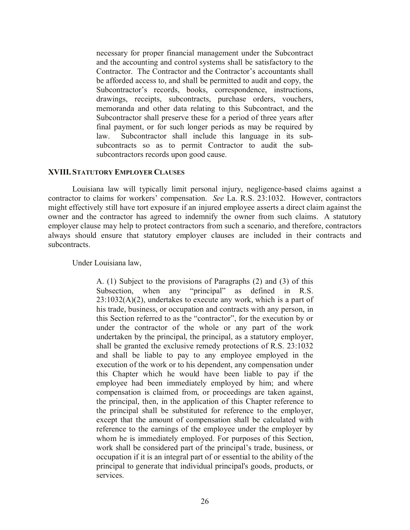necessary for proper financial management under the Subcontract and the accounting and control systems shall be satisfactory to the Contractor. The Contractor and the Contractor's accountants shall be afforded access to, and shall be permitted to audit and copy, the Subcontractor's records, books, correspondence, instructions, drawings, receipts, subcontracts, purchase orders, vouchers, memoranda and other data relating to this Subcontract, and the Subcontractor shall preserve these for a period of three years after final payment, or for such longer periods as may be required by law. Subcontractor shall include this language in its subsubcontracts so as to permit Contractor to audit the subsubcontractors records upon good cause.

#### **XVIII. STATUTORY EMPLOYER CLAUSES**

Louisiana law will typically limit personal injury, negligence-based claims against a contractor to claims for workers' compensation. *See* La. R.S. 23:1032. However, contractors might effectively still have tort exposure if an injured employee asserts a direct claim against the owner and the contractor has agreed to indemnify the owner from such claims. A statutory employer clause may help to protect contractors from such a scenario, and therefore, contractors always should ensure that statutory employer clauses are included in their contracts and subcontracts.

Under Louisiana law,

A. (1) Subject to the provisions of Paragraphs (2) and (3) of this Subsection, when any "principal" as defined in R.S.  $23:1032(A)(2)$ , undertakes to execute any work, which is a part of his trade, business, or occupation and contracts with any person, in this Section referred to as the "contractor", for the execution by or under the contractor of the whole or any part of the work undertaken by the principal, the principal, as a statutory employer, shall be granted the exclusive remedy protections of R.S. 23:1032 and shall be liable to pay to any employee employed in the execution of the work or to his dependent, any compensation under this Chapter which he would have been liable to pay if the employee had been immediately employed by him; and where compensation is claimed from, or proceedings are taken against, the principal, then, in the application of this Chapter reference to the principal shall be substituted for reference to the employer, except that the amount of compensation shall be calculated with reference to the earnings of the employee under the employer by whom he is immediately employed. For purposes of this Section, work shall be considered part of the principal's trade, business, or occupation if it is an integral part of or essential to the ability of the principal to generate that individual principal's goods, products, or services.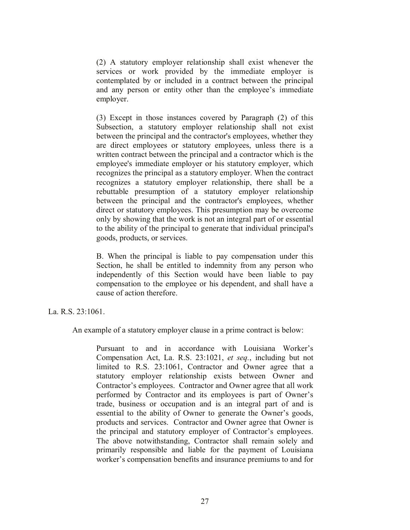(2) A statutory employer relationship shall exist whenever the services or work provided by the immediate employer is contemplated by or included in a contract between the principal and any person or entity other than the employee's immediate employer.

(3) Except in those instances covered by Paragraph (2) of this Subsection, a statutory employer relationship shall not exist between the principal and the contractor's employees, whether they are direct employees or statutory employees, unless there is a written contract between the principal and a contractor which is the employee's immediate employer or his statutory employer, which recognizes the principal as a statutory employer. When the contract recognizes a statutory employer relationship, there shall be a rebuttable presumption of a statutory employer relationship between the principal and the contractor's employees, whether direct or statutory employees. This presumption may be overcome only by showing that the work is not an integral part of or essential to the ability of the principal to generate that individual principal's goods, products, or services.

B. When the principal is liable to pay compensation under this Section, he shall be entitled to indemnity from any person who independently of this Section would have been liable to pay compensation to the employee or his dependent, and shall have a cause of action therefore.

La. R.S. 23:1061.

An example of a statutory employer clause in a prime contract is below:

Pursuant to and in accordance with Louisiana Worker's Compensation Act, La. R.S. 23:1021, *et seq.*, including but not limited to R.S. 23:1061, Contractor and Owner agree that a statutory employer relationship exists between Owner and Contractor's employees. Contractor and Owner agree that all work performed by Contractor and its employees is part of Owner's trade, business or occupation and is an integral part of and is essential to the ability of Owner to generate the Owner's goods, products and services. Contractor and Owner agree that Owner is the principal and statutory employer of Contractor's employees. The above notwithstanding, Contractor shall remain solely and primarily responsible and liable for the payment of Louisiana worker's compensation benefits and insurance premiums to and for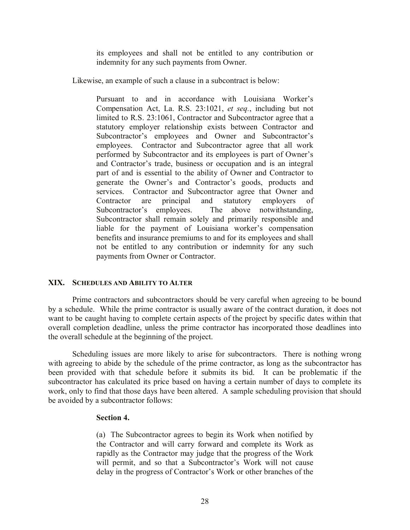its employees and shall not be entitled to any contribution or indemnity for any such payments from Owner.

Likewise, an example of such a clause in a subcontract is below:

Pursuant to and in accordance with Louisiana Worker's Compensation Act, La. R.S. 23:1021, *et seq.*, including but not limited to R.S. 23:1061, Contractor and Subcontractor agree that a statutory employer relationship exists between Contractor and Subcontractor's employees and Owner and Subcontractor's employees. Contractor and Subcontractor agree that all work performed by Subcontractor and its employees is part of Owner's and Contractor's trade, business or occupation and is an integral part of and is essential to the ability of Owner and Contractor to generate the Owner's and Contractor's goods, products and services. Contractor and Subcontractor agree that Owner and Contractor are principal and statutory employers of Subcontractor's employees. The above notwithstanding, Subcontractor shall remain solely and primarily responsible and liable for the payment of Louisiana worker's compensation benefits and insurance premiums to and for its employees and shall not be entitled to any contribution or indemnity for any such payments from Owner or Contractor.

### **XIX. SCHEDULES AND ABILITY TO ALTER**

Prime contractors and subcontractors should be very careful when agreeing to be bound by a schedule. While the prime contractor is usually aware of the contract duration, it does not want to be caught having to complete certain aspects of the project by specific dates within that overall completion deadline, unless the prime contractor has incorporated those deadlines into the overall schedule at the beginning of the project.

Scheduling issues are more likely to arise for subcontractors. There is nothing wrong with agreeing to abide by the schedule of the prime contractor, as long as the subcontractor has been provided with that schedule before it submits its bid. It can be problematic if the subcontractor has calculated its price based on having a certain number of days to complete its work, only to find that those days have been altered. A sample scheduling provision that should be avoided by a subcontractor follows:

### **Section 4.**

(a) The Subcontractor agrees to begin its Work when notified by the Contractor and will carry forward and complete its Work as rapidly as the Contractor may judge that the progress of the Work will permit, and so that a Subcontractor's Work will not cause delay in the progress of Contractor's Work or other branches of the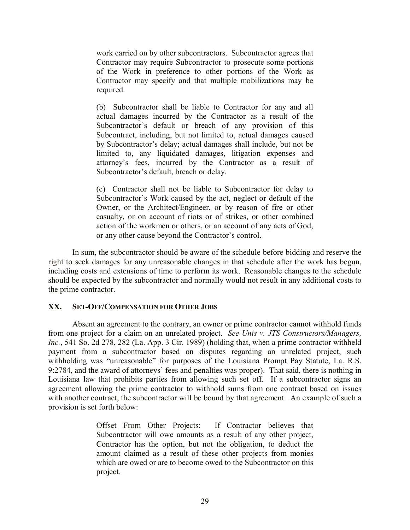work carried on by other subcontractors. Subcontractor agrees that Contractor may require Subcontractor to prosecute some portions of the Work in preference to other portions of the Work as Contractor may specify and that multiple mobilizations may be required.

(b) Subcontractor shall be liable to Contractor for any and all actual damages incurred by the Contractor as a result of the Subcontractor's default or breach of any provision of this Subcontract, including, but not limited to, actual damages caused by Subcontractor's delay; actual damages shall include, but not be limited to, any liquidated damages, litigation expenses and attorney's fees, incurred by the Contractor as a result of Subcontractor's default, breach or delay.

(c) Contractor shall not be liable to Subcontractor for delay to Subcontractor's Work caused by the act, neglect or default of the Owner, or the Architect/Engineer, or by reason of fire or other casualty, or on account of riots or of strikes, or other combined action of the workmen or others, or an account of any acts of God, or any other cause beyond the Contractor's control.

In sum, the subcontractor should be aware of the schedule before bidding and reserve the right to seek damages for any unreasonable changes in that schedule after the work has begun, including costs and extensions of time to perform its work. Reasonable changes to the schedule should be expected by the subcontractor and normally would not result in any additional costs to the prime contractor.

# **XX. SET-OFF/COMPENSATION FOR OTHER JOBS**

Absent an agreement to the contrary, an owner or prime contractor cannot withhold funds from one project for a claim on an unrelated project. *See Unis v. JTS Constructors/Managers, Inc.*, 541 So. 2d 278, 282 (La. App. 3 Cir. 1989) (holding that, when a prime contractor withheld payment from a subcontractor based on disputes regarding an unrelated project, such withholding was "unreasonable" for purposes of the Louisiana Prompt Pay Statute, La. R.S. 9:2784, and the award of attorneys' fees and penalties was proper). That said, there is nothing in Louisiana law that prohibits parties from allowing such set off. If a subcontractor signs an agreement allowing the prime contractor to withhold sums from one contract based on issues with another contract, the subcontractor will be bound by that agreement. An example of such a provision is set forth below:

> Offset From Other Projects: If Contractor believes that Subcontractor will owe amounts as a result of any other project, Contractor has the option, but not the obligation, to deduct the amount claimed as a result of these other projects from monies which are owed or are to become owed to the Subcontractor on this project.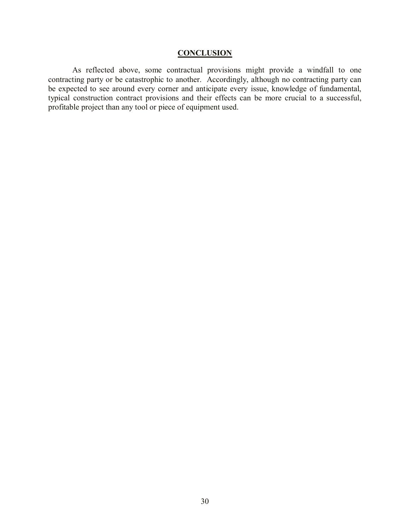## **CONCLUSION**

As reflected above, some contractual provisions might provide a windfall to one contracting party or be catastrophic to another. Accordingly, although no contracting party can be expected to see around every corner and anticipate every issue, knowledge of fundamental, typical construction contract provisions and their effects can be more crucial to a successful, profitable project than any tool or piece of equipment used.